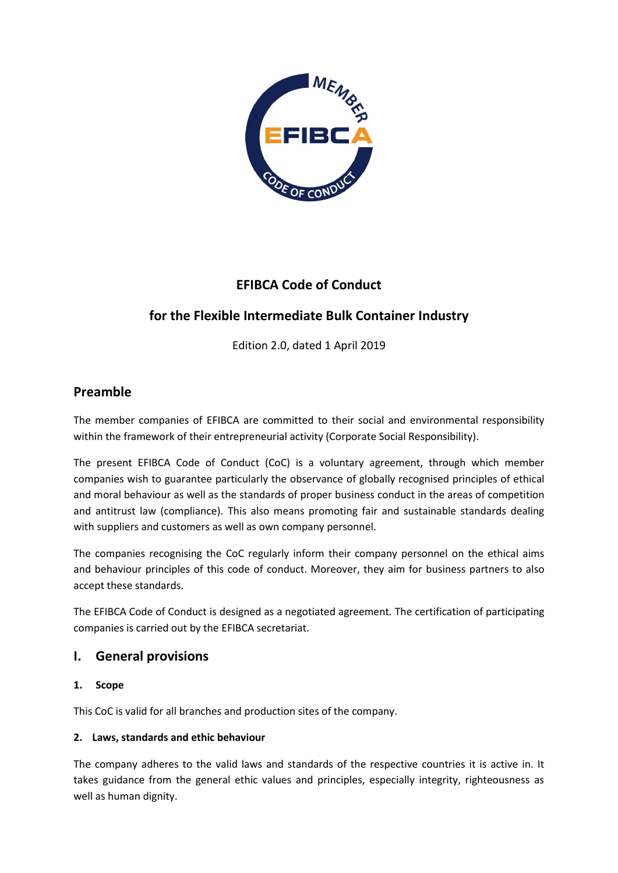

# **EFIBCA Code of Conduct**

# **for the Flexible Intermediate Bulk Container Industry**

Edition 2.0, dated 1 April 2019

# **Preamble**

The member companies of EFIBCA are committed to their social and environmental responsibility within the framework of their entrepreneurial activity (Corporate Social Responsibility).

The present EFIBCA Code of Conduct (CoC) is a voluntary agreement, through which member companies wish to guarantee particularly the observance of globally recognised principles of ethical and moral behaviour as well as the standards of proper business conduct in the areas of competition and antitrust law (compliance). This also means promoting fair and sustainable standards dealing with suppliers and customers as well as own company personnel.

The companies recognising the CoC regularly inform their company personnel on the ethical aims and behaviour principles of this code of conduct. Moreover, they aim for business partners to also accept these standards.

The EFIBCA Code of Conduct is designed as a negotiated agreement*.* The certification of participating companies is carried out by the EFIBCA secretariat.

## **I. General provisions**

## **1. Scope**

This CoC is valid for all branches and production sites of the company.

## **2. Laws, standards and ethic behaviour**

The company adheres to the valid laws and standards of the respective countries it is active in. It takes guidance from the general ethic values and principles, especially integrity, righteousness as well as human dignity.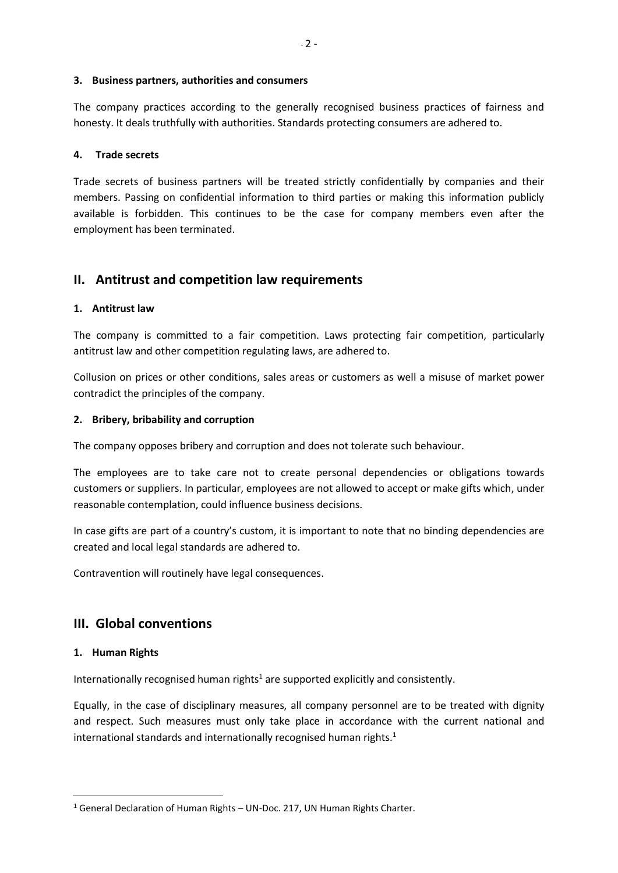#### **3. Business partners, authorities and consumers**

The company practices according to the generally recognised business practices of fairness and honesty. It deals truthfully with authorities. Standards protecting consumers are adhered to.

#### **4. Trade secrets**

Trade secrets of business partners will be treated strictly confidentially by companies and their members. Passing on confidential information to third parties or making this information publicly available is forbidden. This continues to be the case for company members even after the employment has been terminated.

## **II. Antitrust and competition law requirements**

#### **1. Antitrust law**

The company is committed to a fair competition. Laws protecting fair competition, particularly antitrust law and other competition regulating laws, are adhered to.

Collusion on prices or other conditions, sales areas or customers as well a misuse of market power contradict the principles of the company.

#### **2. Bribery, bribability and corruption**

The company opposes bribery and corruption and does not tolerate such behaviour.

The employees are to take care not to create personal dependencies or obligations towards customers or suppliers. In particular, employees are not allowed to accept or make gifts which, under reasonable contemplation, could influence business decisions.

In case gifts are part of a country's custom, it is important to note that no binding dependencies are created and local legal standards are adhered to.

Contravention will routinely have legal consequences.

## **III. Global conventions**

#### **1. Human Rights**

 $\overline{\phantom{a}}$ 

Internationally recognised human rights<sup>1</sup> are supported explicitly and consistently.

Equally, in the case of disciplinary measures, all company personnel are to be treated with dignity and respect. Such measures must only take place in accordance with the current national and international standards and internationally recognised human rights.<sup>1</sup>

 $1$  General Declaration of Human Rights – UN-Doc. 217, UN Human Rights Charter.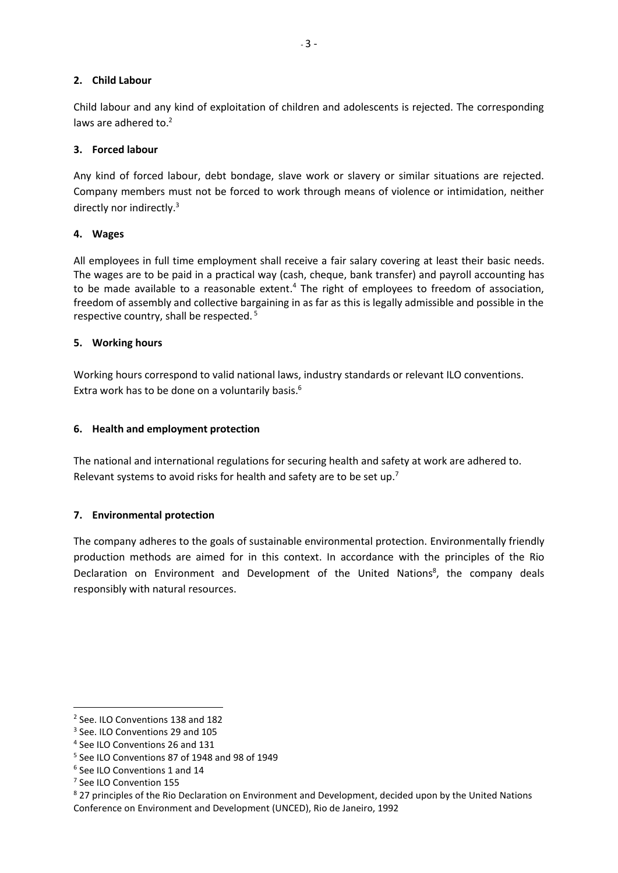## **2. Child Labour**

Child labour and any kind of exploitation of children and adolescents is rejected. The corresponding laws are adhered to.<sup>2</sup>

#### **3. Forced labour**

Any kind of forced labour, debt bondage, slave work or slavery or similar situations are rejected. Company members must not be forced to work through means of violence or intimidation, neither directly nor indirectly.<sup>3</sup>

#### **4. Wages**

All employees in full time employment shall receive a fair salary covering at least their basic needs. The wages are to be paid in a practical way (cash, cheque, bank transfer) and payroll accounting has to be made available to a reasonable extent.<sup>4</sup> The right of employees to freedom of association, freedom of assembly and collective bargaining in as far as this is legally admissible and possible in the respective country, shall be respected. <sup>5</sup>

#### **5. Working hours**

Working hours correspond to valid national laws, industry standards or relevant ILO conventions. Extra work has to be done on a voluntarily basis. 6

#### **6. Health and employment protection**

The national and international regulations for securing health and safety at work are adhered to. Relevant systems to avoid risks for health and safety are to be set up.<sup>7</sup>

## **7. Environmental protection**

The company adheres to the goals of sustainable environmental protection. Environmentally friendly production methods are aimed for in this context. In accordance with the principles of the Rio Declaration on Environment and Development of the United Nations<sup>8</sup>, the company deals responsibly with natural resources.

 $\overline{\phantom{a}}$ 

<sup>&</sup>lt;sup>2</sup> See. ILO Conventions 138 and 182

<sup>&</sup>lt;sup>3</sup> See. ILO Conventions 29 and 105

<sup>4</sup> See ILO Conventions 26 and 131

<sup>5</sup> See ILO Conventions 87 of 1948 and 98 of 1949

<sup>6</sup> See ILO Conventions 1 and 14

<sup>&</sup>lt;sup>7</sup> See ILO Convention 155

<sup>&</sup>lt;sup>8</sup> 27 principles of the Rio Declaration on Environment and Development, decided upon by the United Nations Conference on Environment and Development (UNCED), Rio de Janeiro, 1992